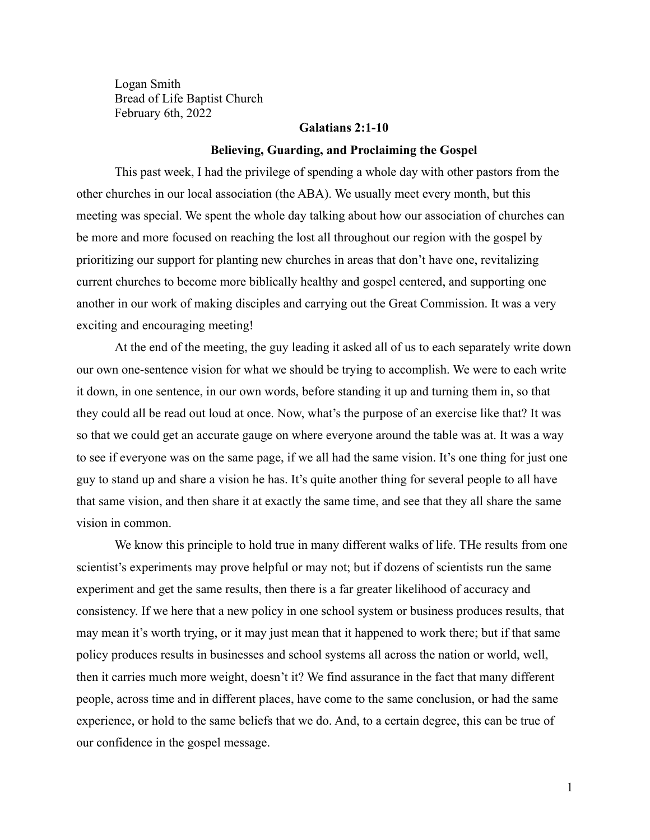Logan Smith Bread of Life Baptist Church February 6th, 2022

#### **Galatians 2:1-10**

#### **Believing, Guarding, and Proclaiming the Gospel**

This past week, I had the privilege of spending a whole day with other pastors from the other churches in our local association (the ABA). We usually meet every month, but this meeting was special. We spent the whole day talking about how our association of churches can be more and more focused on reaching the lost all throughout our region with the gospel by prioritizing our support for planting new churches in areas that don't have one, revitalizing current churches to become more biblically healthy and gospel centered, and supporting one another in our work of making disciples and carrying out the Great Commission. It was a very exciting and encouraging meeting!

At the end of the meeting, the guy leading it asked all of us to each separately write down our own one-sentence vision for what we should be trying to accomplish. We were to each write it down, in one sentence, in our own words, before standing it up and turning them in, so that they could all be read out loud at once. Now, what's the purpose of an exercise like that? It was so that we could get an accurate gauge on where everyone around the table was at. It was a way to see if everyone was on the same page, if we all had the same vision. It's one thing for just one guy to stand up and share a vision he has. It's quite another thing for several people to all have that same vision, and then share it at exactly the same time, and see that they all share the same vision in common.

We know this principle to hold true in many different walks of life. THe results from one scientist's experiments may prove helpful or may not; but if dozens of scientists run the same experiment and get the same results, then there is a far greater likelihood of accuracy and consistency. If we here that a new policy in one school system or business produces results, that may mean it's worth trying, or it may just mean that it happened to work there; but if that same policy produces results in businesses and school systems all across the nation or world, well, then it carries much more weight, doesn't it? We find assurance in the fact that many different people, across time and in different places, have come to the same conclusion, or had the same experience, or hold to the same beliefs that we do. And, to a certain degree, this can be true of our confidence in the gospel message.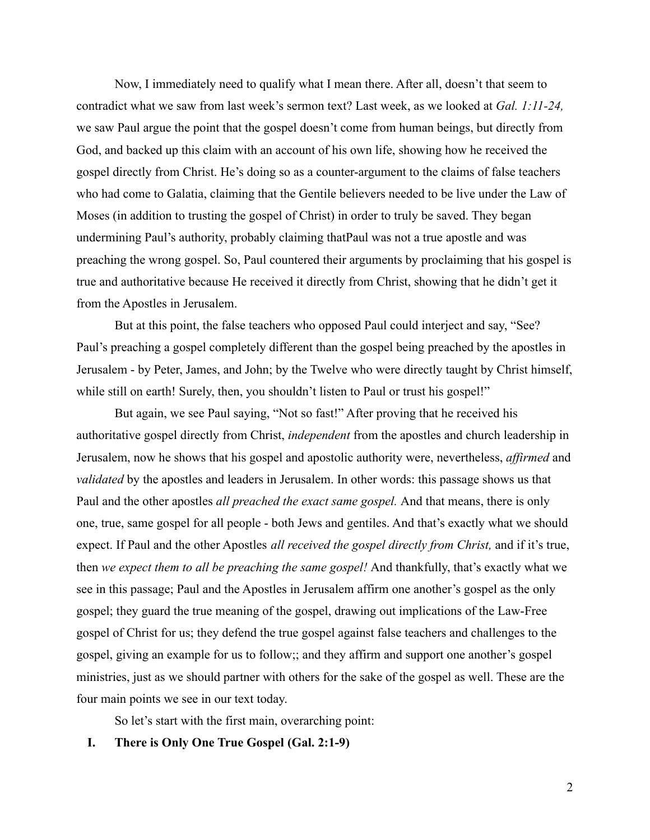Now, I immediately need to qualify what I mean there. After all, doesn't that seem to contradict what we saw from last week's sermon text? Last week, as we looked at *Gal. 1:11-24,* we saw Paul argue the point that the gospel doesn't come from human beings, but directly from God, and backed up this claim with an account of his own life, showing how he received the gospel directly from Christ. He's doing so as a counter-argument to the claims of false teachers who had come to Galatia, claiming that the Gentile believers needed to be live under the Law of Moses (in addition to trusting the gospel of Christ) in order to truly be saved. They began undermining Paul's authority, probably claiming thatPaul was not a true apostle and was preaching the wrong gospel. So, Paul countered their arguments by proclaiming that his gospel is true and authoritative because He received it directly from Christ, showing that he didn't get it from the Apostles in Jerusalem.

But at this point, the false teachers who opposed Paul could interject and say, "See? Paul's preaching a gospel completely different than the gospel being preached by the apostles in Jerusalem - by Peter, James, and John; by the Twelve who were directly taught by Christ himself, while still on earth! Surely, then, you shouldn't listen to Paul or trust his gospel!"

But again, we see Paul saying, "Not so fast!" After proving that he received his authoritative gospel directly from Christ, *independent* from the apostles and church leadership in Jerusalem, now he shows that his gospel and apostolic authority were, nevertheless, *affirmed* and *validated* by the apostles and leaders in Jerusalem. In other words: this passage shows us that Paul and the other apostles *all preached the exact same gospel.* And that means, there is only one, true, same gospel for all people - both Jews and gentiles. And that's exactly what we should expect. If Paul and the other Apostles *all received the gospel directly from Christ,* and if it's true, then *we expect them to all be preaching the same gospel!* And thankfully, that's exactly what we see in this passage; Paul and the Apostles in Jerusalem affirm one another's gospel as the only gospel; they guard the true meaning of the gospel, drawing out implications of the Law-Free gospel of Christ for us; they defend the true gospel against false teachers and challenges to the gospel, giving an example for us to follow;; and they affirm and support one another's gospel ministries, just as we should partner with others for the sake of the gospel as well. These are the four main points we see in our text today.

So let's start with the first main, overarching point:

# **I. There is Only One True Gospel (Gal. 2:1-9)**

2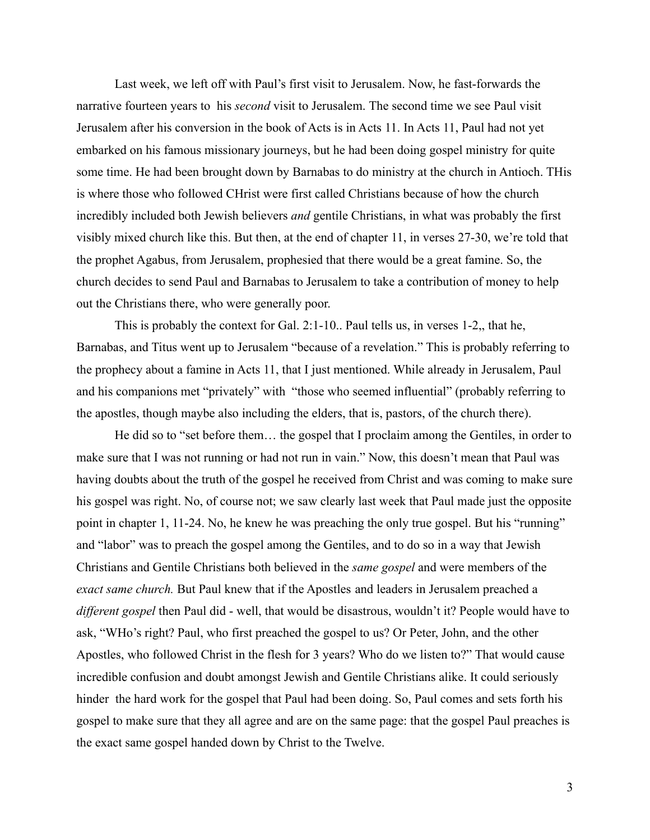Last week, we left off with Paul's first visit to Jerusalem. Now, he fast-forwards the narrative fourteen years to his *second* visit to Jerusalem. The second time we see Paul visit Jerusalem after his conversion in the book of Acts is in Acts 11. In Acts 11, Paul had not yet embarked on his famous missionary journeys, but he had been doing gospel ministry for quite some time. He had been brought down by Barnabas to do ministry at the church in Antioch. THis is where those who followed CHrist were first called Christians because of how the church incredibly included both Jewish believers *and* gentile Christians, in what was probably the first visibly mixed church like this. But then, at the end of chapter 11, in verses 27-30, we're told that the prophet Agabus, from Jerusalem, prophesied that there would be a great famine. So, the church decides to send Paul and Barnabas to Jerusalem to take a contribution of money to help out the Christians there, who were generally poor.

This is probably the context for Gal. 2:1-10.. Paul tells us, in verses 1-2,, that he, Barnabas, and Titus went up to Jerusalem "because of a revelation." This is probably referring to the prophecy about a famine in Acts 11, that I just mentioned. While already in Jerusalem, Paul and his companions met "privately" with "those who seemed influential" (probably referring to the apostles, though maybe also including the elders, that is, pastors, of the church there).

He did so to "set before them… the gospel that I proclaim among the Gentiles, in order to make sure that I was not running or had not run in vain." Now, this doesn't mean that Paul was having doubts about the truth of the gospel he received from Christ and was coming to make sure his gospel was right. No, of course not; we saw clearly last week that Paul made just the opposite point in chapter 1, 11-24. No, he knew he was preaching the only true gospel. But his "running" and "labor" was to preach the gospel among the Gentiles, and to do so in a way that Jewish Christians and Gentile Christians both believed in the *same gospel* and were members of the *exact same church.* But Paul knew that if the Apostles and leaders in Jerusalem preached a *different gospel* then Paul did - well, that would be disastrous, wouldn't it? People would have to ask, "WHo's right? Paul, who first preached the gospel to us? Or Peter, John, and the other Apostles, who followed Christ in the flesh for 3 years? Who do we listen to?" That would cause incredible confusion and doubt amongst Jewish and Gentile Christians alike. It could seriously hinder the hard work for the gospel that Paul had been doing. So, Paul comes and sets forth his gospel to make sure that they all agree and are on the same page: that the gospel Paul preaches is the exact same gospel handed down by Christ to the Twelve.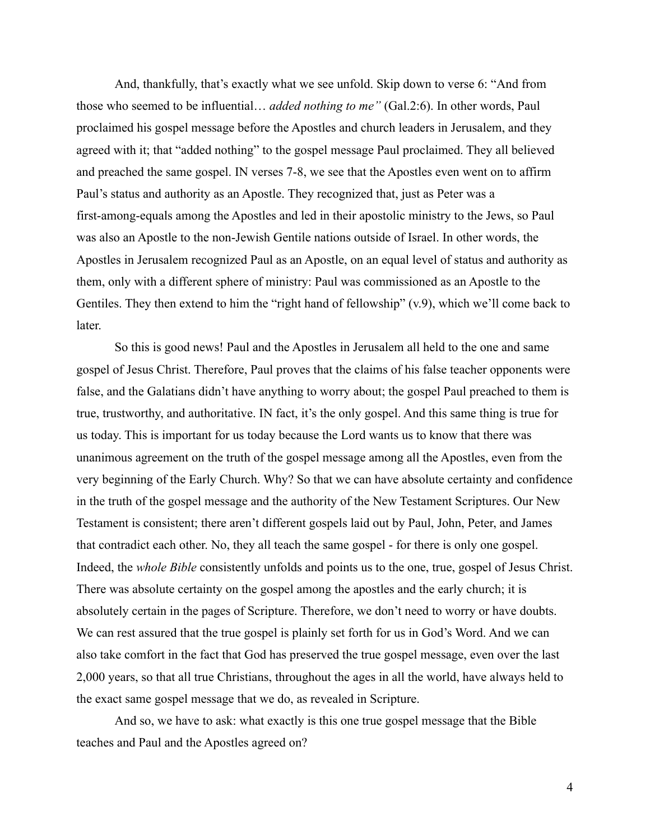And, thankfully, that's exactly what we see unfold. Skip down to verse 6: "And from those who seemed to be influential… *added nothing to me"* (Gal.2:6). In other words, Paul proclaimed his gospel message before the Apostles and church leaders in Jerusalem, and they agreed with it; that "added nothing" to the gospel message Paul proclaimed. They all believed and preached the same gospel. IN verses 7-8, we see that the Apostles even went on to affirm Paul's status and authority as an Apostle. They recognized that, just as Peter was a first-among-equals among the Apostles and led in their apostolic ministry to the Jews, so Paul was also an Apostle to the non-Jewish Gentile nations outside of Israel. In other words, the Apostles in Jerusalem recognized Paul as an Apostle, on an equal level of status and authority as them, only with a different sphere of ministry: Paul was commissioned as an Apostle to the Gentiles. They then extend to him the "right hand of fellowship" (v.9), which we'll come back to later.

So this is good news! Paul and the Apostles in Jerusalem all held to the one and same gospel of Jesus Christ. Therefore, Paul proves that the claims of his false teacher opponents were false, and the Galatians didn't have anything to worry about; the gospel Paul preached to them is true, trustworthy, and authoritative. IN fact, it's the only gospel. And this same thing is true for us today. This is important for us today because the Lord wants us to know that there was unanimous agreement on the truth of the gospel message among all the Apostles, even from the very beginning of the Early Church. Why? So that we can have absolute certainty and confidence in the truth of the gospel message and the authority of the New Testament Scriptures. Our New Testament is consistent; there aren't different gospels laid out by Paul, John, Peter, and James that contradict each other. No, they all teach the same gospel - for there is only one gospel. Indeed, the *whole Bible* consistently unfolds and points us to the one, true, gospel of Jesus Christ. There was absolute certainty on the gospel among the apostles and the early church; it is absolutely certain in the pages of Scripture. Therefore, we don't need to worry or have doubts. We can rest assured that the true gospel is plainly set forth for us in God's Word. And we can also take comfort in the fact that God has preserved the true gospel message, even over the last 2,000 years, so that all true Christians, throughout the ages in all the world, have always held to the exact same gospel message that we do, as revealed in Scripture.

And so, we have to ask: what exactly is this one true gospel message that the Bible teaches and Paul and the Apostles agreed on?

4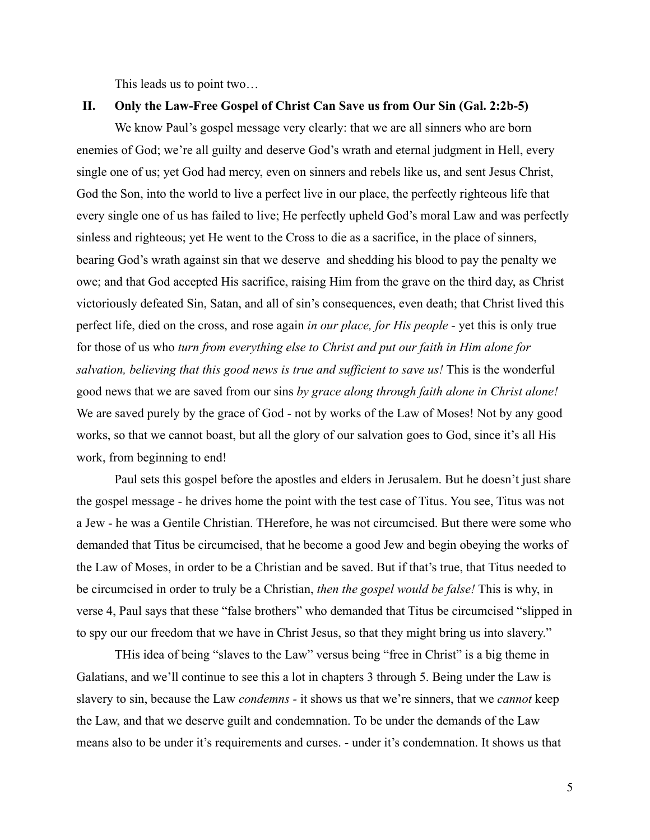This leads us to point two…

### **II. Only the Law-Free Gospel of Christ Can Save us from Our Sin (Gal. 2:2b-5)**

We know Paul's gospel message very clearly: that we are all sinners who are born enemies of God; we're all guilty and deserve God's wrath and eternal judgment in Hell, every single one of us; yet God had mercy, even on sinners and rebels like us, and sent Jesus Christ, God the Son, into the world to live a perfect live in our place, the perfectly righteous life that every single one of us has failed to live; He perfectly upheld God's moral Law and was perfectly sinless and righteous; yet He went to the Cross to die as a sacrifice, in the place of sinners, bearing God's wrath against sin that we deserve and shedding his blood to pay the penalty we owe; and that God accepted His sacrifice, raising Him from the grave on the third day, as Christ victoriously defeated Sin, Satan, and all of sin's consequences, even death; that Christ lived this perfect life, died on the cross, and rose again *in our place, for His people -* yet this is only true for those of us who *turn from everything else to Christ and put our faith in Him alone for salvation, believing that this good news is true and sufficient to save us!* This is the wonderful good news that we are saved from our sins *by grace along through faith alone in Christ alone!* We are saved purely by the grace of God - not by works of the Law of Moses! Not by any good works, so that we cannot boast, but all the glory of our salvation goes to God, since it's all His work, from beginning to end!

Paul sets this gospel before the apostles and elders in Jerusalem. But he doesn't just share the gospel message - he drives home the point with the test case of Titus. You see, Titus was not a Jew - he was a Gentile Christian. THerefore, he was not circumcised. But there were some who demanded that Titus be circumcised, that he become a good Jew and begin obeying the works of the Law of Moses, in order to be a Christian and be saved. But if that's true, that Titus needed to be circumcised in order to truly be a Christian, *then the gospel would be false!* This is why, in verse 4, Paul says that these "false brothers" who demanded that Titus be circumcised "slipped in to spy our our freedom that we have in Christ Jesus, so that they might bring us into slavery."

THis idea of being "slaves to the Law" versus being "free in Christ" is a big theme in Galatians, and we'll continue to see this a lot in chapters 3 through 5. Being under the Law is slavery to sin, because the Law *condemns -* it shows us that we're sinners, that we *cannot* keep the Law, and that we deserve guilt and condemnation. To be under the demands of the Law means also to be under it's requirements and curses. - under it's condemnation. It shows us that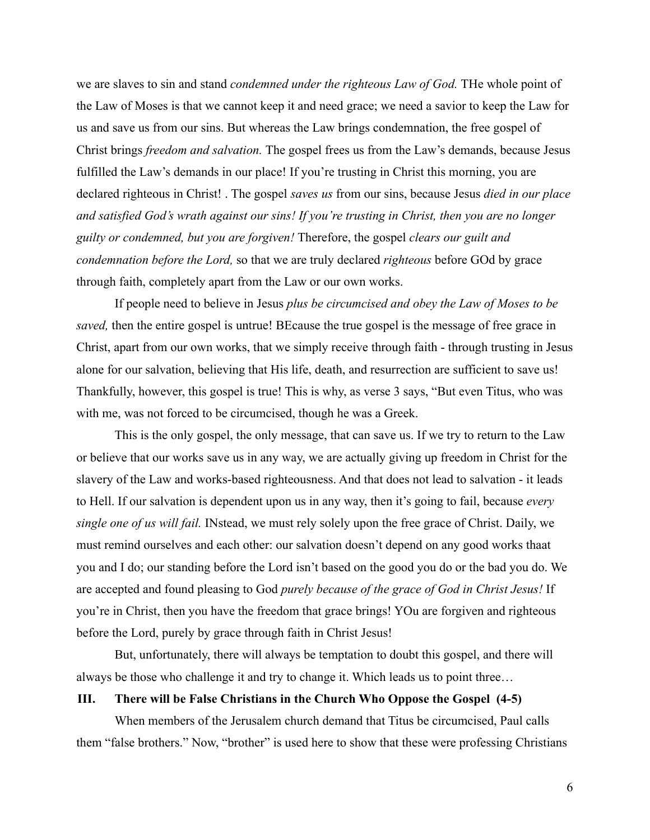we are slaves to sin and stand *condemned under the righteous Law of God.* THe whole point of the Law of Moses is that we cannot keep it and need grace; we need a savior to keep the Law for us and save us from our sins. But whereas the Law brings condemnation, the free gospel of Christ brings *freedom and salvation.* The gospel frees us from the Law's demands, because Jesus fulfilled the Law's demands in our place! If you're trusting in Christ this morning, you are declared righteous in Christ! . The gospel *saves us* from our sins, because Jesus *died in our place and satisfied God's wrath against our sins! If you're trusting in Christ, then you are no longer guilty or condemned, but you are forgiven!* Therefore, the gospel *clears our guilt and condemnation before the Lord,* so that we are truly declared *righteous* before GOd by grace through faith, completely apart from the Law or our own works.

If people need to believe in Jesus *plus be circumcised and obey the Law of Moses to be saved,* then the entire gospel is untrue! BEcause the true gospel is the message of free grace in Christ, apart from our own works, that we simply receive through faith - through trusting in Jesus alone for our salvation, believing that His life, death, and resurrection are sufficient to save us! Thankfully, however, this gospel is true! This is why, as verse 3 says, "But even Titus, who was with me, was not forced to be circumcised, though he was a Greek.

This is the only gospel, the only message, that can save us. If we try to return to the Law or believe that our works save us in any way, we are actually giving up freedom in Christ for the slavery of the Law and works-based righteousness. And that does not lead to salvation - it leads to Hell. If our salvation is dependent upon us in any way, then it's going to fail, because *every single one of us will fail.* INstead, we must rely solely upon the free grace of Christ. Daily, we must remind ourselves and each other: our salvation doesn't depend on any good works thaat you and I do; our standing before the Lord isn't based on the good you do or the bad you do. We are accepted and found pleasing to God *purely because of the grace of God in Christ Jesus!* If you're in Christ, then you have the freedom that grace brings! YOu are forgiven and righteous before the Lord, purely by grace through faith in Christ Jesus!

But, unfortunately, there will always be temptation to doubt this gospel, and there will always be those who challenge it and try to change it. Which leads us to point three…

## **III. There will be False Christians in the Church Who Oppose the Gospel (4-5)**

When members of the Jerusalem church demand that Titus be circumcised, Paul calls them "false brothers." Now, "brother" is used here to show that these were professing Christians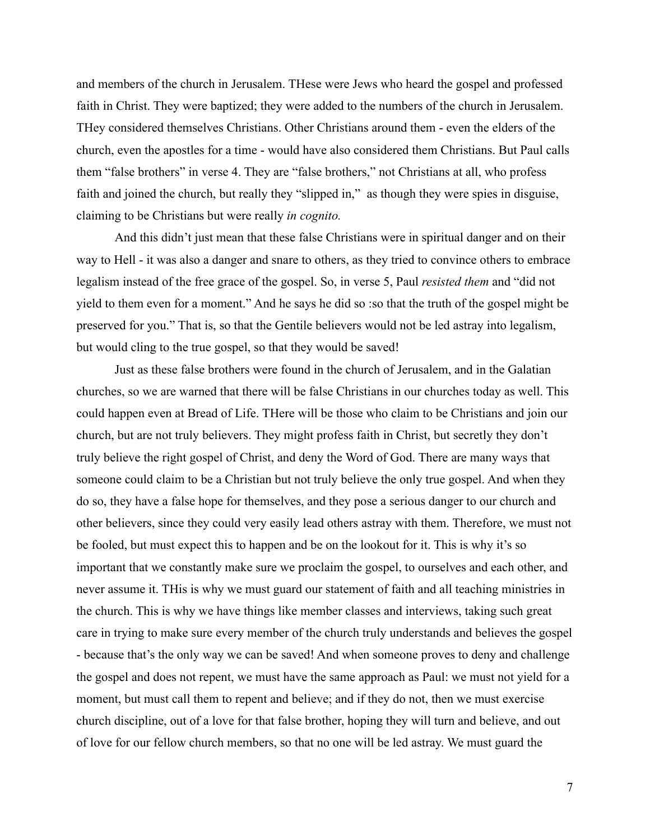and members of the church in Jerusalem. THese were Jews who heard the gospel and professed faith in Christ. They were baptized; they were added to the numbers of the church in Jerusalem. THey considered themselves Christians. Other Christians around them - even the elders of the church, even the apostles for a time - would have also considered them Christians. But Paul calls them "false brothers" in verse 4. They are "false brothers," not Christians at all, who profess faith and joined the church, but really they "slipped in," as though they were spies in disguise, claiming to be Christians but were really *in cognito.*

And this didn't just mean that these false Christians were in spiritual danger and on their way to Hell - it was also a danger and snare to others, as they tried to convince others to embrace legalism instead of the free grace of the gospel. So, in verse 5, Paul *resisted them* and "did not yield to them even for a moment." And he says he did so :so that the truth of the gospel might be preserved for you." That is, so that the Gentile believers would not be led astray into legalism, but would cling to the true gospel, so that they would be saved!

Just as these false brothers were found in the church of Jerusalem, and in the Galatian churches, so we are warned that there will be false Christians in our churches today as well. This could happen even at Bread of Life. THere will be those who claim to be Christians and join our church, but are not truly believers. They might profess faith in Christ, but secretly they don't truly believe the right gospel of Christ, and deny the Word of God. There are many ways that someone could claim to be a Christian but not truly believe the only true gospel. And when they do so, they have a false hope for themselves, and they pose a serious danger to our church and other believers, since they could very easily lead others astray with them. Therefore, we must not be fooled, but must expect this to happen and be on the lookout for it. This is why it's so important that we constantly make sure we proclaim the gospel, to ourselves and each other, and never assume it. THis is why we must guard our statement of faith and all teaching ministries in the church. This is why we have things like member classes and interviews, taking such great care in trying to make sure every member of the church truly understands and believes the gospel - because that's the only way we can be saved! And when someone proves to deny and challenge the gospel and does not repent, we must have the same approach as Paul: we must not yield for a moment, but must call them to repent and believe; and if they do not, then we must exercise church discipline, out of a love for that false brother, hoping they will turn and believe, and out of love for our fellow church members, so that no one will be led astray. We must guard the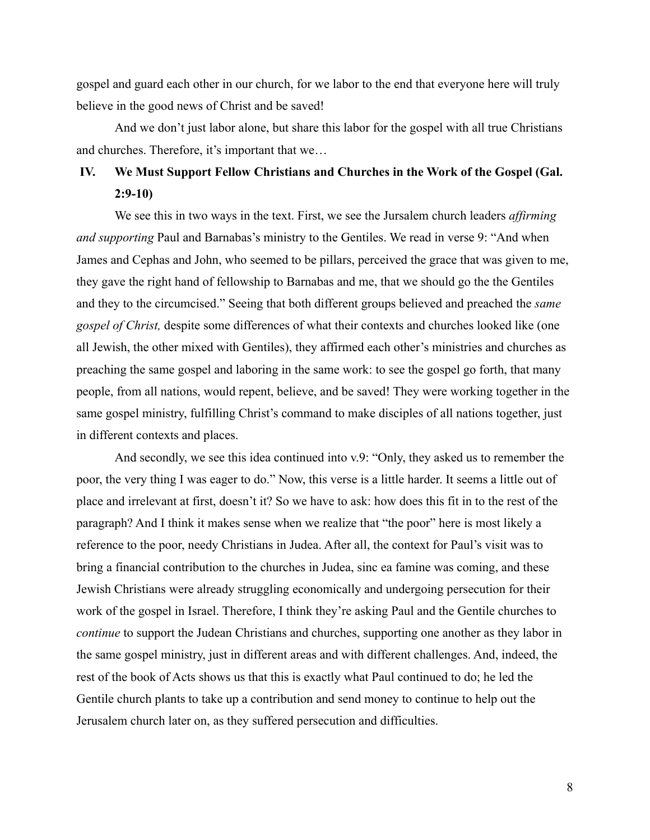gospel and guard each other in our church, for we labor to the end that everyone here will truly believe in the good news of Christ and be saved!

And we don't just labor alone, but share this labor for the gospel with all true Christians and churches. Therefore, it's important that we…

# **IV. We Must Support Fellow Christians and Churches in the Work of the Gospel (Gal. 2:9-10)**

We see this in two ways in the text. First, we see the Jursalem church leaders *affirming and supporting* Paul and Barnabas's ministry to the Gentiles. We read in verse 9: "And when James and Cephas and John, who seemed to be pillars, perceived the grace that was given to me, they gave the right hand of fellowship to Barnabas and me, that we should go the the Gentiles and they to the circumcised." Seeing that both different groups believed and preached the *same gospel of Christ,* despite some differences of what their contexts and churches looked like (one all Jewish, the other mixed with Gentiles), they affirmed each other's ministries and churches as preaching the same gospel and laboring in the same work: to see the gospel go forth, that many people, from all nations, would repent, believe, and be saved! They were working together in the same gospel ministry, fulfilling Christ's command to make disciples of all nations together, just in different contexts and places.

And secondly, we see this idea continued into v.9: "Only, they asked us to remember the poor, the very thing I was eager to do." Now, this verse is a little harder. It seems a little out of place and irrelevant at first, doesn't it? So we have to ask: how does this fit in to the rest of the paragraph? And I think it makes sense when we realize that "the poor" here is most likely a reference to the poor, needy Christians in Judea. After all, the context for Paul's visit was to bring a financial contribution to the churches in Judea, sinc ea famine was coming, and these Jewish Christians were already struggling economically and undergoing persecution for their work of the gospel in Israel. Therefore, I think they're asking Paul and the Gentile churches to *continue* to support the Judean Christians and churches, supporting one another as they labor in the same gospel ministry, just in different areas and with different challenges. And, indeed, the rest of the book of Acts shows us that this is exactly what Paul continued to do; he led the Gentile church plants to take up a contribution and send money to continue to help out the Jerusalem church later on, as they suffered persecution and difficulties.